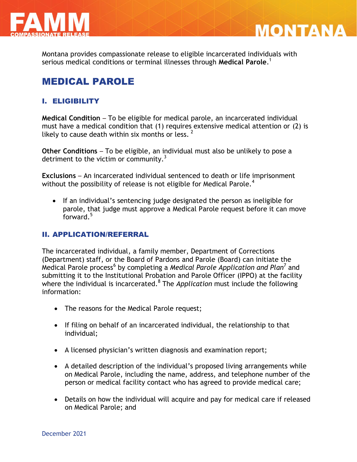



Montana provides compassionate release to eligible incarcerated individuals with serious medical conditions or terminal illnesses through **Medical Parole**. 1

# MEDICAL PAROLE

# I. ELIGIBILITY

**Medical Condition** – To be eligible for medical parole, an incarcerated individual must have a medical condition that (1) requires extensive medical attention or (2) is likely to cause death within six months or less.  $2^2$ 

**Other Conditions** – To be eligible, an individual must also be unlikely to pose a detriment to the victim or community. $3$ 

**Exclusions** – An incarcerated individual sentenced to death or life imprisonment without the possibility of release is not eligible for Medical Parole.<sup>4</sup>

• If an individual's sentencing judge designated the person as ineligible for parole, that judge must approve a Medical Parole request before it can move forward. 5

### II. APPLICATION/REFERRAL

The incarcerated individual, a family member, Department of Corrections (Department) staff, or the Board of Pardons and Parole (Board) can initiate the Medical Parole process<sup>6</sup> by completing a *Medical Parole Application and Plan<sup>7</sup>* and submitting it to the Institutional Probation and Parole Officer (IPPO) at the facility where the individual is incarcerated.<sup>8</sup> The *Application* must include the following information:

- The reasons for the Medical Parole request;
- If filing on behalf of an incarcerated individual, the relationship to that individual;
- A licensed physician's written diagnosis and examination report;
- A detailed description of the individual's proposed living arrangements while on Medical Parole, including the name, address, and telephone number of the person or medical facility contact who has agreed to provide medical care;
- Details on how the individual will acquire and pay for medical care if released on Medical Parole; and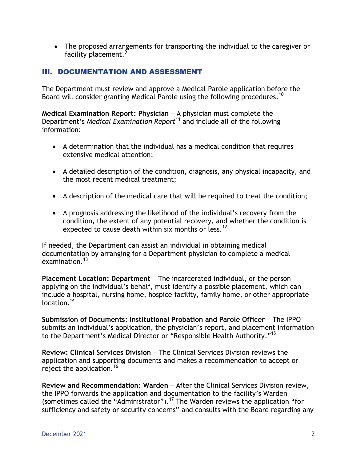The proposed arrangements for transporting the individual to the caregiver or facility placement.<sup>9</sup>

# III. DOCUMENTATION AND ASSESSMENT

The Department must review and approve a Medical Parole application before the Board will consider granting Medical Parole using the following procedures.<sup>10</sup>

**Medical Examination Report: Physician** – A physician must complete the Department's *Medical Examination Report*<sup>11</sup> and include all of the following information:

- A determination that the individual has a medical condition that requires extensive medical attention;
- A detailed description of the condition, diagnosis, any physical incapacity, and the most recent medical treatment;
- A description of the medical care that will be required to treat the condition;
- A prognosis addressing the likelihood of the individual's recovery from the condition, the extent of any potential recovery, and whether the condition is expected to cause death within six months or less.<sup>12</sup>

If needed, the Department can assist an individual in obtaining medical documentation by arranging for a Department physician to complete a medical examination.<sup>13</sup>

**Placement Location: Department** – The incarcerated individual, or the person applying on the individual's behalf, must identify a possible placement, which can include a hospital, nursing home, hospice facility, family home, or other appropriate location<sup>14</sup>

**Submission of Documents: Institutional Probation and Parole Officer** – The IPPO submits an individual's application, the physician's report, and placement information to the Department's Medical Director or "Responsible Health Authority." 15

**Review: Clinical Services Division** – The Clinical Services Division reviews the application and supporting documents and makes a recommendation to accept or reject the application.<sup>16</sup>

**Review and Recommendation: Warden** – After the Clinical Services Division review, the IPPO forwards the application and documentation to the facility's Warden (sometimes called the "Administrator").<sup>17</sup> The Warden reviews the application "for sufficiency and safety or security concerns" and consults with the Board regarding any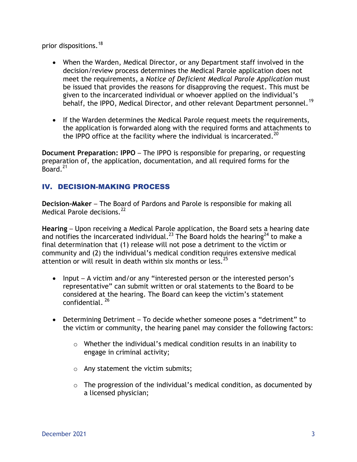prior dispositions.<sup>18</sup>

- When the Warden, Medical Director, or any Department staff involved in the decision/review process determines the Medical Parole application does not meet the requirements, a *Notice of Deficient Medical Parole Application* must be issued that provides the reasons for disapproving the request. This must be given to the incarcerated individual or whoever applied on the individual's behalf, the IPPO, Medical Director, and other relevant Department personnel.<sup>19</sup>
- If the Warden determines the Medical Parole request meets the requirements, the application is forwarded along with the required forms and attachments to the IPPO office at the facility where the individual is incarcerated.<sup>20</sup>

**Document Preparation: IPPO** – The IPPO is responsible for preparing, or requesting preparation of, the application, documentation, and all required forms for the Board.<sup>21</sup>

# IV. DECISION-MAKING PROCESS

**Decision-Maker** – The Board of Pardons and Parole is responsible for making all Medical Parole decisions.<sup>22</sup>

**Hearing** – Upon receiving a Medical Parole application, the Board sets a hearing date and notifies the incarcerated individual.<sup>23</sup> The Board holds the hearing<sup>24</sup> to make a final determination that (1) release will not pose a detriment to the victim or community and (2) the individual's medical condition requires extensive medical attention or will result in death within six months or less.  $25$ 

- Input A victim and/or any "interested person or the interested person's representative" can submit written or oral statements to the Board to be considered at the hearing. The Board can keep the victim's statement confidential. <sup>26</sup>
- Determining Detriment To decide whether someone poses a "detriment" to the victim or community, the hearing panel may consider the following factors:
	- o Whether the individual's medical condition results in an inability to engage in criminal activity;
	- o Any statement the victim submits;
	- o The progression of the individual's medical condition, as documented by a licensed physician;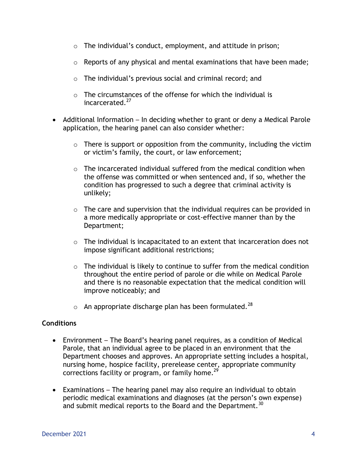- $\circ$  The individual's conduct, employment, and attitude in prison;
- $\circ$  Reports of any physical and mental examinations that have been made;
- o The individual's previous social and criminal record; and
- $\circ$  The circumstances of the offense for which the individual is incarcerated.<sup>27</sup>
- Additional Information In deciding whether to grant or deny a Medical Parole application, the hearing panel can also consider whether:
	- $\circ$  There is support or opposition from the community, including the victim or victim's family, the court, or law enforcement;
	- $\circ$  The incarcerated individual suffered from the medical condition when the offense was committed or when sentenced and, if so, whether the condition has progressed to such a degree that criminal activity is unlikely;
	- $\circ$  The care and supervision that the individual requires can be provided in a more medically appropriate or cost-effective manner than by the Department;
	- $\circ$  The individual is incapacitated to an extent that incarceration does not impose significant additional restrictions;
	- $\circ$  The individual is likely to continue to suffer from the medical condition throughout the entire period of parole or die while on Medical Parole and there is no reasonable expectation that the medical condition will improve noticeably; and
	- $\circ$  An appropriate discharge plan has been formulated.<sup>28</sup>

## **Conditions**

- Environment The Board's hearing panel requires, as a condition of Medical Parole, that an individual agree to be placed in an environment that the Department chooses and approves. An appropriate setting includes a hospital, nursing home, hospice facility, prerelease center, appropriate community corrections facility or program, or family home.<sup>29</sup>
- Examinations The hearing panel may also require an individual to obtain periodic medical examinations and diagnoses (at the person's own expense) and submit medical reports to the Board and the Department.<sup>30</sup>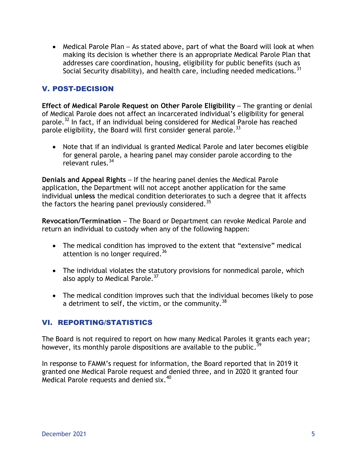• Medical Parole Plan – As stated above, part of what the Board will look at when making its decision is whether there is an appropriate Medical Parole Plan that addresses care coordination, housing, eligibility for public benefits (such as Social Security disability), and health care, including needed medications.  $31$ 

## V. POST-DECISION

**Effect of Medical Parole Request on Other Parole Eligibility - The granting or denial** of Medical Parole does not affect an incarcerated individual's eligibility for general parole.<sup>32</sup> In fact, if an individual being considered for Medical Parole has reached parole eligibility, the Board will first consider general parole.<sup>33</sup>

 Note that if an individual is granted Medical Parole and later becomes eligible for general parole, a hearing panel may consider parole according to the relevant rules.<sup>34</sup>

**Denials and Appeal Rights** – If the hearing panel denies the Medical Parole application, the Department will not accept another application for the same individual **unless** the medical condition deteriorates to such a degree that it affects the factors the hearing panel previously considered.<sup>35</sup>

**Revocation/Termination** – The Board or Department can revoke Medical Parole and return an individual to custody when any of the following happen:

- The medical condition has improved to the extent that "extensive" medical attention is no longer required.<sup>36</sup>
- The individual violates the statutory provisions for nonmedical parole, which also apply to Medical Parole.<sup>37</sup>
- The medical condition improves such that the individual becomes likely to pose a detriment to self, the victim, or the community.<sup>38</sup>

### VI. REPORTING/STATISTICS

The Board is not required to report on how many Medical Paroles it grants each year; however, its monthly parole dispositions are available to the public.<sup>39</sup>

In response to FAMM's request for information, the Board reported that in 2019 it granted one Medical Parole request and denied three, and in 2020 it granted four Medical Parole requests and denied six.<sup>40</sup>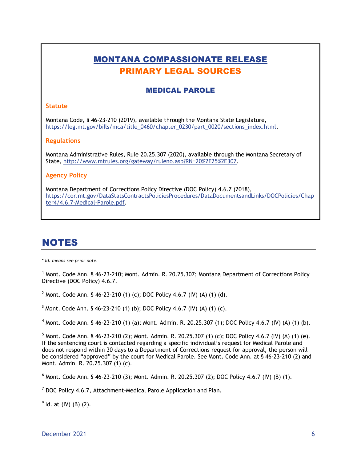# MONTANA COMPASSIONATE RELEASE PRIMARY LEGAL SOURCES

### MEDICAL PAROLE

#### **Statute**

Montana Code, § 46-23-210 (2019), available through the Montana State Legislature, [https://leg.mt.gov/bills/mca/title\\_0460/chapter\\_0230/part\\_0020/sections\\_index.html.](https://leg.mt.gov/bills/mca/title_0460/chapter_0230/part_0020/sections_index.html)

#### **Regulations**

Montana Administrative Rules, Rule 20.25.307 (2020), available through the Montana Secretary of State, [http://www.mtrules.org/gateway/ruleno.asp?RN=20%2E25%2E307.](http://www.mtrules.org/gateway/ruleno.asp?RN=20%2E25%2E307)

#### **Agency Policy**

Montana Department of Corrections Policy Directive (DOC Policy) 4.6.7 (2018), [https://cor.mt.gov/DataStatsContractsPoliciesProcedures/DataDocumentsandLinks/DOCPolicies/Chap](https://cor.mt.gov/DataStatsContractsPoliciesProcedures/DataDocumentsandLinks/DOCPolicies/Chapter4/4.6.7-Medical-Parole.pdf) [ter4/4.6.7-Medical-Parole.pdf.](https://cor.mt.gov/DataStatsContractsPoliciesProcedures/DataDocumentsandLinks/DOCPolicies/Chapter4/4.6.7-Medical-Parole.pdf)

# NOTES

\* *Id. means see prior note.*

<sup>1</sup> Mont. Code Ann. § 46-23-210; Mont. Admin. R. 20.25.307; Montana Department of Corrections Policy Directive (DOC Policy) 4.6.7.

<sup>2</sup> Mont. Code Ann. § 46-23-210 (1) (c); DOC Policy 4.6.7 (IV) (A) (1) (d).

 $3$  Mont. Code Ann. § 46-23-210 (1) (b); DOC Policy 4.6.7 (IV) (A) (1) (c).

 $^4$  Mont. Code Ann. § 46-23-210 (1) (a); Mont. Admin. R. 20.25.307 (1); DOC Policy 4.6.7 (IV) (A) (1) (b).

 $5$  Mont. Code Ann. § 46-23-210 (2); Mont. Admin. R. 20.25.307 (1) (c); DOC Policy 4.6.7 (IV) (A) (1) (e). If the sentencing court is contacted regarding a specific individual's request for Medical Parole and does not respond within 30 days to a Department of Corrections request for approval, the person will be considered "approved" by the court for Medical Parole. See Mont. Code Ann. at § 46-23-210 (2) and Mont. Admin. R. 20.25.307 (1) (c).

 $6$  Mont. Code Ann. § 46-23-210 (3); Mont. Admin. R. 20.25.307 (2); DOC Policy 4.6.7 (IV) (B) (1).

 $7$  DOC Policy 4.6.7, Attachment-Medical Parole Application and Plan.

 $8$  ld. at (IV) (B) (2).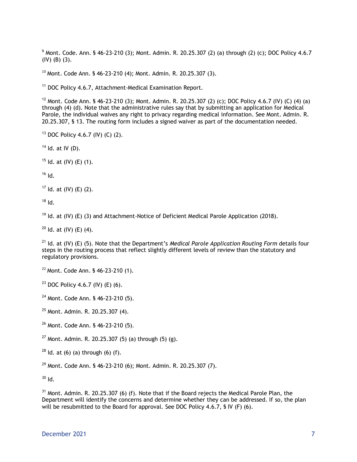$9$  Mont. Code. Ann. § 46-23-210 (3); Mont. Admin. R. 20.25.307 (2) (a) through (2) (c); DOC Policy 4.6.7 (IV) (B) (3).

 $10$  Mont. Code Ann. § 46-23-210 (4); Mont. Admin. R. 20.25.307 (3).

<sup>11</sup> DOC Policy 4.6.7, Attachment-Medical Examination Report.

<sup>12</sup> Mont. Code Ann. § 46-23-210 (3); Mont. Admin. R. 20.25.307 (2) (c); DOC Policy 4.6.7 (IV) (C) (4) (a) through (4) (d). Note that the administrative rules say that by submitting an application for Medical Parole, the individual waives any right to privacy regarding medical information. See Mont. Admin. R. 20.25.307, § 13. The routing form includes a signed waiver as part of the documentation needed.

<sup>13</sup> DOC Policy 4.6.7 (IV) (C) (2).

 $14$  Id. at IV (D).

 $15$  Id. at (IV) (E) (1).

 $16$  Id.

 $17$  Id. at (IV) (E) (2).

 $18$  Id.

<sup>19</sup> Id. at (IV) (E) (3) and Attachment-Notice of Deficient Medical Parole Application (2018).

 $20$  Id. at (IV) (E) (4).

<sup>21</sup> Id. at (IV) (E) (5). Note that the Department's *Medical Parole Application Routing Form* details four steps in the routing process that reflect slightly different levels of review than the statutory and regulatory provisions.

<sup>22</sup> Mont. Code Ann. § 46-23-210 (1).

<sup>23</sup> DOC Policy 4.6.7 (IV) (E) (6).

<sup>24</sup> Mont. Code Ann. § 46-23-210 (5).

<sup>25</sup> Mont. Admin. R. 20.25.307 (4).

<sup>26</sup> Mont. Code Ann. § 46-23-210 (5).

<sup>27</sup> Mont. Admin. R. 20.25.307 (5) (a) through (5) (g).

 $28$  ld. at (6) (a) through (6) (f).

 $29$  Mont. Code Ann. § 46-23-210 (6); Mont. Admin. R. 20.25.307 (7).

 $30$  Id.

 $31$  Mont. Admin. R. 20.25.307 (6) (f). Note that if the Board rejects the Medical Parole Plan, the Department will identify the concerns and determine whether they can be addressed. If so, the plan will be resubmitted to the Board for approval. See DOC Policy 4.6.7, § IV (F) (6).